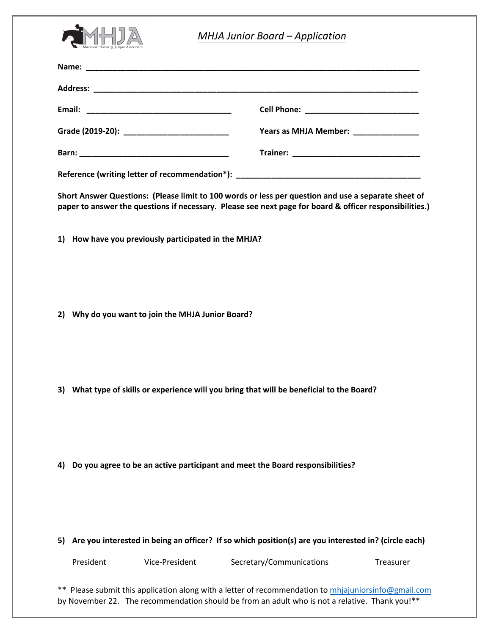

| <b>MHJA Junior Board - Application</b>                                                                                                                                                                         |                                                                                                         |                                                                                                                                          |
|----------------------------------------------------------------------------------------------------------------------------------------------------------------------------------------------------------------|---------------------------------------------------------------------------------------------------------|------------------------------------------------------------------------------------------------------------------------------------------|
|                                                                                                                                                                                                                |                                                                                                         |                                                                                                                                          |
|                                                                                                                                                                                                                |                                                                                                         |                                                                                                                                          |
|                                                                                                                                                                                                                |                                                                                                         |                                                                                                                                          |
|                                                                                                                                                                                                                |                                                                                                         | Years as MHJA Member:<br>The Manager of the Manager of the Manager of the Manager of the Manager of the Manager of the Manager of the Ma |
|                                                                                                                                                                                                                |                                                                                                         |                                                                                                                                          |
| Reference (writing letter of recommendation*): __________________________________                                                                                                                              |                                                                                                         |                                                                                                                                          |
| Short Answer Questions: (Please limit to 100 words or less per question and use a separate sheet of<br>paper to answer the questions if necessary. Please see next page for board & officer responsibilities.) |                                                                                                         |                                                                                                                                          |
|                                                                                                                                                                                                                | 1) How have you previously participated in the MHJA?                                                    |                                                                                                                                          |
| 2) Why do you want to join the MHJA Junior Board?                                                                                                                                                              |                                                                                                         |                                                                                                                                          |
|                                                                                                                                                                                                                | 3) What type of skills or experience will you bring that will be beneficial to the Board?               |                                                                                                                                          |
| 4)                                                                                                                                                                                                             | Do you agree to be an active participant and meet the Board responsibilities?                           |                                                                                                                                          |
|                                                                                                                                                                                                                | 5) Are you interested in being an officer? If so which position(s) are you interested in? (circle each) |                                                                                                                                          |

President Vice-President Secretary/Communications Treasurer

\*\* Please submit this application along with a letter of recommendation to [mhjajuniorsinfo@gmail.com](mailto:mhjajuniorsinfo@gmail.com) by November 22. The recommendation should be from an adult who is not a relative. Thank you!\*\*